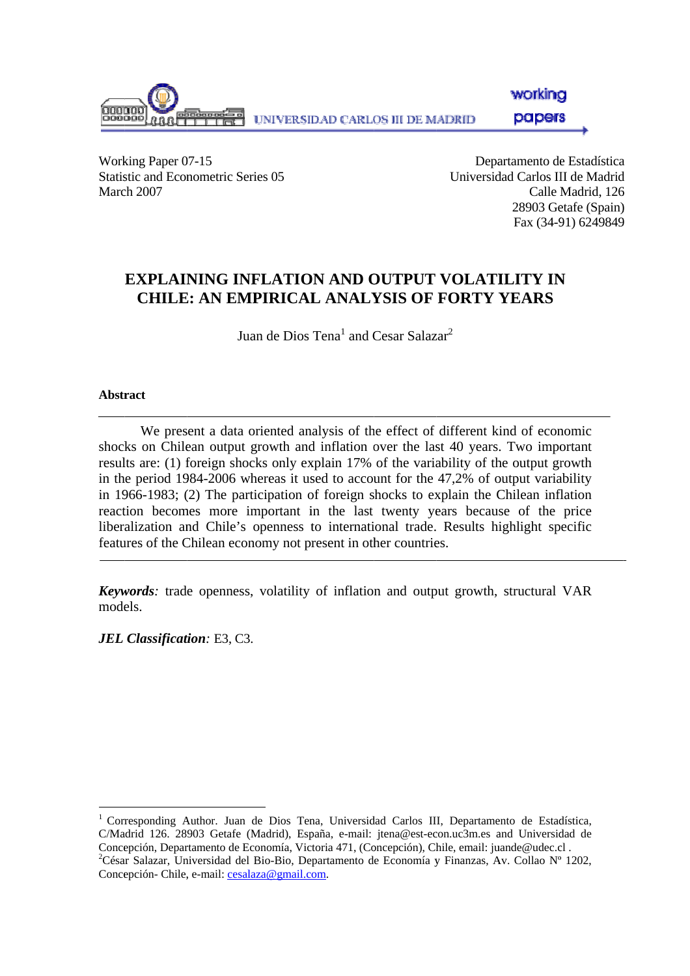

Working Paper 07-15 Statistic and Econometric Series 05 March 2007

Departamento de Estadística Universidad Carlos III de Madrid Calle M Madrid, 126 28903 Getafe (Spain) Fax (34-91) 6249849 ad<br>06<br>1) 9

# **EXPLAINING INFLATION AND OUTPUT VOLATILITY IN CHILE E: AN EM MPIRICAL L ANALY YSIS OF FORTY Y YEARS**

Juan de Dios Tena $^{\rm l}$  and Cesar Salazar $^{\rm 2}$ 

## **Abstr ract**

 $\overline{a}$ 

 $\overline{a}$ 

shocks on Chilean output growth and inflation over the last 40 years. Two important results are: (1) foreign shocks only explain 17% of the variability of the output growth in the period 1984-2006 whereas it used to account for the 47,2% of output variability in 1966-1983; (2) The participation of foreign shocks to explain the Chilean inflation reaction becomes more important in the last twenty years because of the price liberalization and Chile's openness to international trade. Results highlight specific features of the Chilean economy not present in other countries. We present a data oriented analysis of the effect of different kind of economic

**Keywords**: trade openness, volatility of inflation and output growth, structural VAR models.

*JEL Classificat tion:* E3, C3 .

 $\overline{a}$ 

 $\overline{a}$ 

<sup>&</sup>lt;sup>1</sup> Corresponding Author. Juan de Dios Tena, Universidad Carlos III, Departamento de Estadística, C/Madrid 126. 28903 Getafe (Madrid), España, e-mail: jtena@est-econ.uc3m.es and Universidad de Concepción, Departamento de Economía, Victoria 471, (Concepción), Chile, email: juande@udec.cl .<br><sup>2</sup>César Salazar, Universidad del Pio Pio Penertamento de Economía y Finanzas, Ay Collao Nº 1 César Salazar, Universidad del Bio-Bio, Departamento de Economía y Finanzas, Av. Collao Nº 1202, Concepción- Chile, e-mail: cesalaza@gmail.com.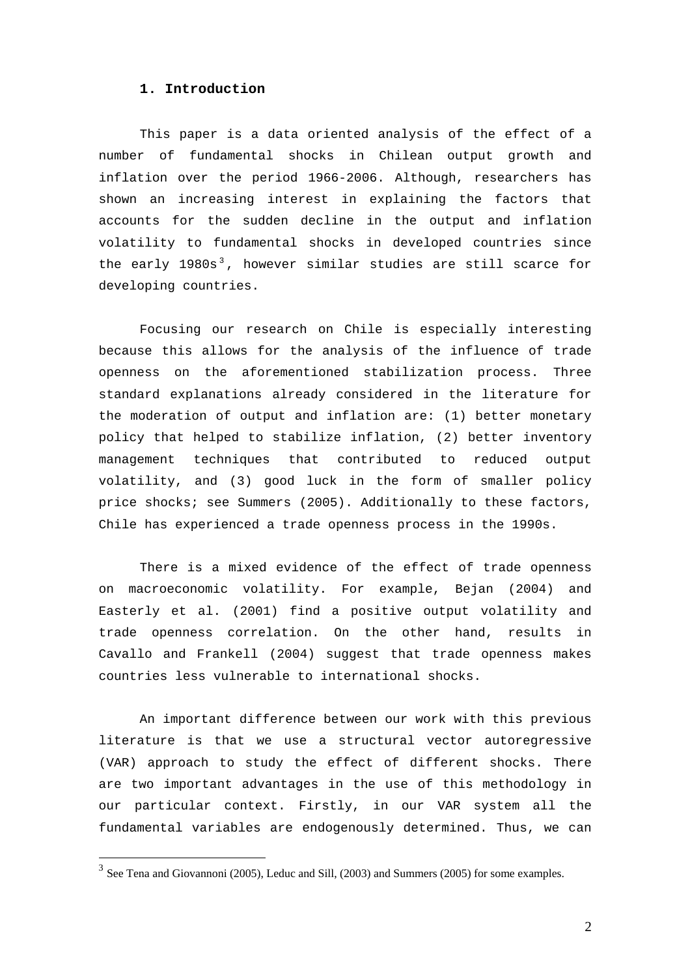#### **1. Introduction**

This paper is a data oriented analysis of the effect of a number of fundamental shocks in Chilean output growth and inflation over the period 1966-2006. Although, researchers has shown an increasing interest in explaining the factors that accounts for the sudden decline in the output and inflation volatility to fundamental shocks in developed countries since the early  $1980s<sup>3</sup>$ , however similar studies are still scarce for developing countries.

Focusing our research on Chile is especially interesting because this allows for the analysis of the influence of trade openness on the aforementioned stabilization process. Three standard explanations already considered in the literature for the moderation of output and inflation are: (1) better monetary policy that helped to stabilize inflation, (2) better inventory management techniques that contributed to reduced output volatility, and (3) good luck in the form of smaller policy price shocks; see Summers (2005). Additionally to these factors, Chile has experienced a trade openness process in the 1990s.

There is a mixed evidence of the effect of trade openness on macroeconomic volatility. For example, Bejan (2004) and Easterly et al. (2001) find a positive output volatility and trade openness correlation. On the other hand, results in Cavallo and Frankell (2004) suggest that trade openness makes countries less vulnerable to international shocks.

An important difference between our work with this previous literature is that we use a structural vector autoregressive (VAR) approach to study the effect of different shocks. There are two important advantages in the use of this methodology in our particular context. Firstly, in our VAR system all the fundamental variables are endogenously determined. Thus, we can

 $\overline{a}$ 

<sup>3</sup> See Tena and Giovannoni (2005), Leduc and Sill, (2003) and Summers (2005) for some examples.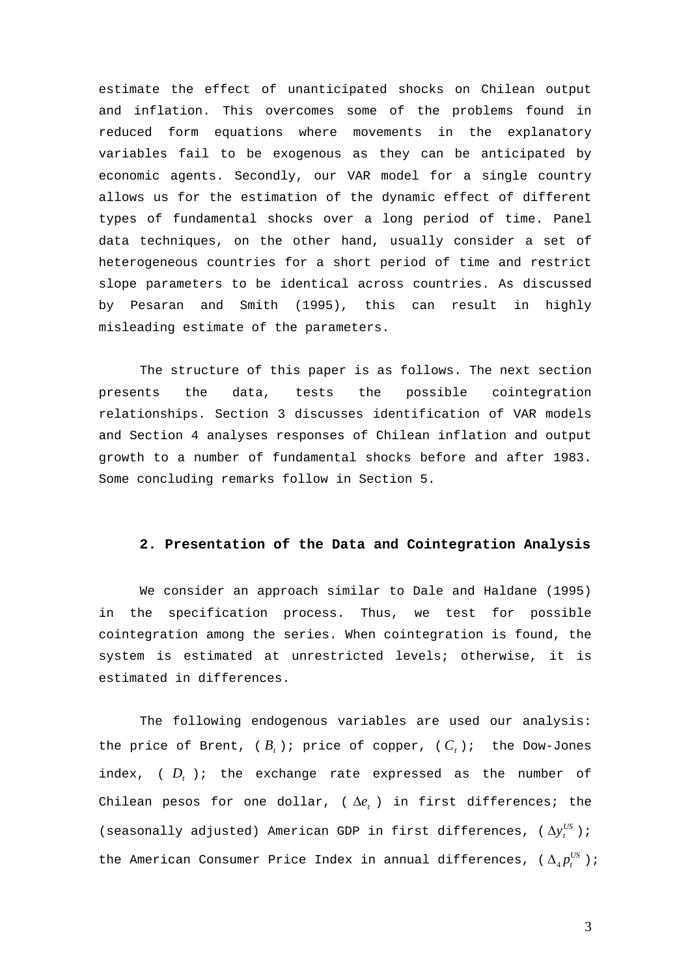estimate the effect of unanticipated shocks on Chilean output and inflation. This overcomes some of the problems found in reduced form equations where movements in the explanatory variables fail to be exogenous as they can be anticipated by economic agents. Secondly, our VAR model for a single country allows us for the estimation of the dynamic effect of different types of fundamental shocks over a long period of time. Panel data techniques, on the other hand, usually consider a set of heterogeneous countries for a short period of time and restrict slope parameters to be identical across countries. As discussed by Pesaran and Smith (1995), this can result in highly misleading estimate of the parameters.

The structure of this paper is as follows. The next section presents the data, tests the possible cointegration relationships. Section 3 discusses identification of VAR models and Section 4 analyses responses of Chilean inflation and output growth to a number of fundamental shocks before and after 1983. Some concluding remarks follow in Section 5.

## **2. Presentation of the Data and Cointegration Analysis**

We consider an approach similar to Dale and Haldane (1995) in the specification process. Thus, we test for possible cointegration among the series. When cointegration is found, the system is estimated at unrestricted levels; otherwise, it is estimated in differences.

The following endogenous variables are used our analysis: the price of Brent,  $(B_t)$ ; price of copper,  $(C_t)$ ; the Dow-Jones index,  $(D_t)$ ; the exchange rate expressed as the number of Chilean pesos for one dollar,  $(\Delta e_t)$  in first differences; the (seasonally adjusted) American GDP in first differences,  $(\Delta y_t^{US})$ ; the American Consumer Price Index in annual differences, ( $\Delta_4 p_t^{US}$ );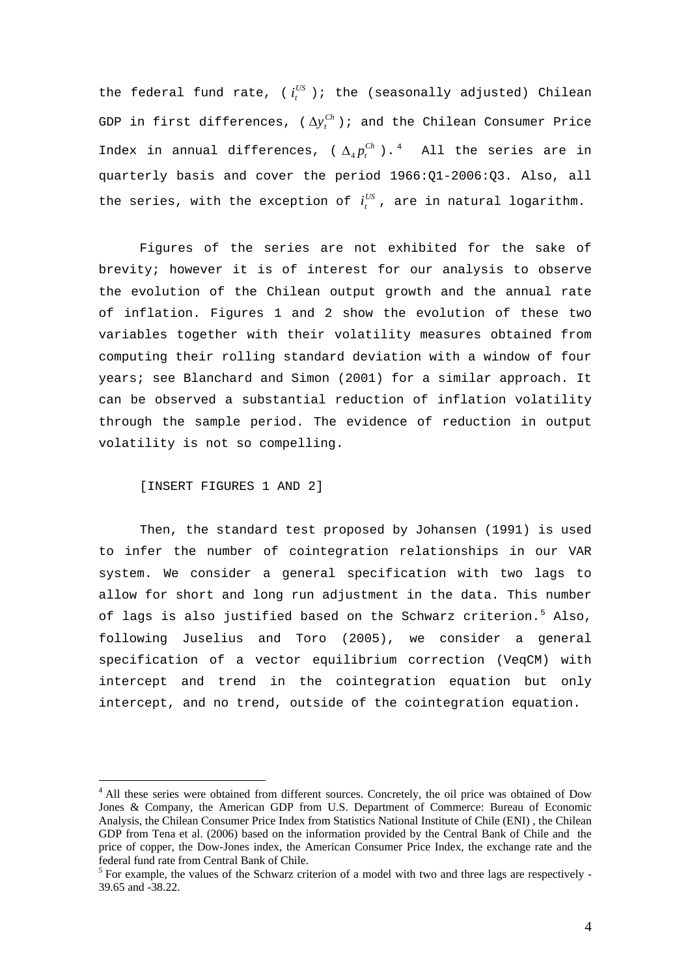the federal fund rate, ( $i_t^{US}$  ); the (seasonally adjusted) Chilean GDP in first differences, ( $\Delta y_{t}^{Ch}$ ); and the Chilean Consumer Price Index in annual differences, ( $\Delta_4 p_t^{Ch}$ ).<sup>4</sup> All the series are in quarterly basis and cover the period 1966:Q1-2006:Q3. Also, all the series, with the exception of  $i_t^{US}$ , are in natural logarithm.

Figures of the series are not exhibited for the sake of brevity; however it is of interest for our analysis to observe the evolution of the Chilean output growth and the annual rate of inflation. Figures 1 and 2 show the evolution of these two variables together with their volatility measures obtained from computing their rolling standard deviation with a window of four years; see Blanchard and Simon (2001) for a similar approach. It can be observed a substantial reduction of inflation volatility through the sample period. The evidence of reduction in output volatility is not so compelling.

[INSERT FIGURES 1 AND 2]

 $\overline{a}$ 

Then, the standard test proposed by Johansen (1991) is used to infer the number of cointegration relationships in our VAR system. We consider a general specification with two lags to allow for short and long run adjustment in the data. This number of lags is also justified based on the Schwarz criterion.<sup>5</sup> Also, following Juselius and Toro (2005), we consider a general specification of a vector equilibrium correction (VeqCM) with intercept and trend in the cointegration equation but only intercept, and no trend, outside of the cointegration equation.

<sup>&</sup>lt;sup>4</sup> All these series were obtained from different sources. Concretely, the oil price was obtained of Dow Jones & Company, the American GDP from U.S. Department of Commerce: Bureau of Economic Analysis, the Chilean Consumer Price Index from Statistics National Institute of Chile (ENI) , the Chilean GDP from Tena et al. (2006) based on the information provided by the Central Bank of Chile and the price of copper, the Dow-Jones index, the American Consumer Price Index, the exchange rate and the federal fund rate from Central Bank of Chile.

 $<sup>5</sup>$  For example, the values of the Schwarz criterion of a model with two and three lags are respectively -</sup> 39.65 and -38.22.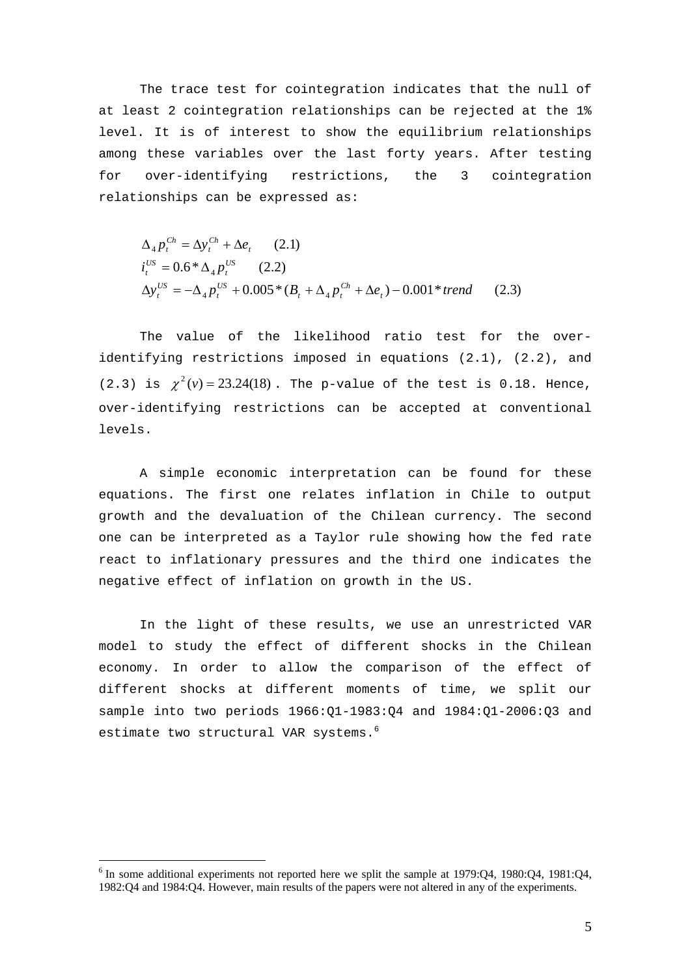The trace test for cointegration indicates that the null of at least 2 cointegration relationships can be rejected at the 1% level. It is of interest to show the equilibrium relationships among these variables over the last forty years. After testing for over-identifying restrictions, the 3 cointegration relationships can be expressed as:

$$
\Delta_4 p_t^{Ch} = \Delta y_t^{Ch} + \Delta e_t \qquad (2.1)
$$
  
\n
$$
i_t^{US} = 0.6 * \Delta_4 p_t^{US} \qquad (2.2)
$$
  
\n
$$
\Delta y_t^{US} = -\Delta_4 p_t^{US} + 0.005 * (B_t + \Delta_4 p_t^{Ch} + \Delta e_t) - 0.001 * trend \qquad (2.3)
$$

The value of the likelihood ratio test for the overidentifying restrictions imposed in equations (2.1), (2.2), and (2.3) is  $\chi^2(v) = 23.24(18)$ . The p-value of the test is 0.18. Hence, over-identifying restrictions can be accepted at conventional levels.

A simple economic interpretation can be found for these equations. The first one relates inflation in Chile to output growth and the devaluation of the Chilean currency. The second one can be interpreted as a Taylor rule showing how the fed rate react to inflationary pressures and the third one indicates the negative effect of inflation on growth in the US.

In the light of these results, we use an unrestricted VAR model to study the effect of different shocks in the Chilean economy. In order to allow the comparison of the effect of different shocks at different moments of time, we split our sample into two periods 1966:Q1-1983:Q4 and 1984:Q1-2006:Q3 and estimate two structural VAR systems.<sup>6</sup>

 $\overline{a}$ 

 $6$  In some additional experiments not reported here we split the sample at 1979:Q4, 1980:Q4, 1981:Q4, 1982:Q4 and 1984:Q4. However, main results of the papers were not altered in any of the experiments.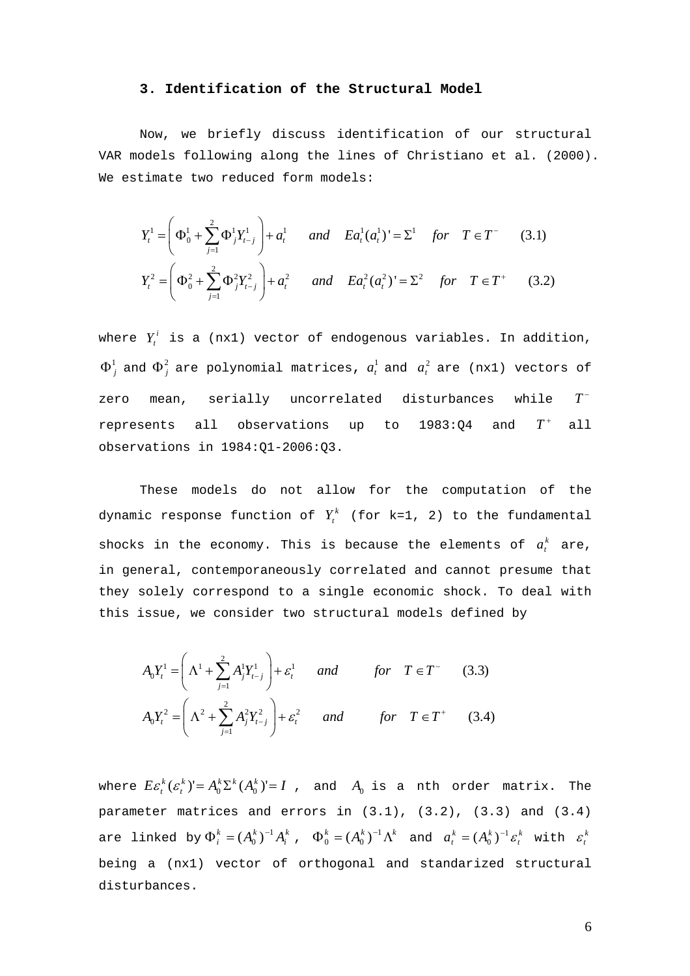## **3. Identification of the Structural Model**

Now, we briefly discuss identification of our structural VAR models following along the lines of Christiano et al. (2000). We estimate two reduced form models:

$$
Y_t^1 = \left(\Phi_0^1 + \sum_{j=1}^2 \Phi_j^1 Y_{t-j}^1\right) + a_t^1 \quad \text{and} \quad E a_t^1(a_t^1)^1 = \Sigma^1 \quad \text{for} \quad T \in T^- \tag{3.1}
$$
\n
$$
Y_t^2 = \left(\Phi_0^2 + \sum_{j=1}^2 \Phi_j^2 Y_{t-j}^2\right) + a_t^2 \quad \text{and} \quad E a_t^2(a_t^2)^1 = \Sigma^2 \quad \text{for} \quad T \in T^+ \tag{3.2}
$$

where  $Y_t^i$  is a (nx1) vector of endogenous variables. In addition,  $\Phi^1_j$  and  $\Phi^2_j$  are polynomial matrices,  $a^1_t$  and  $a^2_t$  are (nx1) vectors of zero mean, serially uncorrelated disturbances while  $T^$ represents all observations up to  $1983:Q4$  and  $T^+$  all observations in 1984:Q1-2006:Q3.

These models do not allow for the computation of the dynamic response function of  $Y_t^k$  (for k=1, 2) to the fundamental shocks in the economy. This is because the elements of  $a_t^k$  are, in general, contemporaneously correlated and cannot presume that they solely correspond to a single economic shock. To deal with this issue, we consider two structural models defined by

$$
A_0 Y_t^1 = \left(\Lambda^1 + \sum_{j=1}^2 A_j^1 Y_{t-j}^1\right) + \varepsilon_t^1 \quad and \quad for \quad T \in T^- \tag{3.3}
$$
  

$$
A_0 Y_t^2 = \left(\Lambda^2 + \sum_{j=1}^2 A_j^2 Y_{t-j}^2\right) + \varepsilon_t^2 \quad and \quad for \quad T \in T^+ \tag{3.4}
$$

where  $E \mathcal{E}_t^k(\mathcal{E}_t^k)' = A_0^k \Sigma^k(A_0^k)' = I$  , and  $A_0$  is a nth order matrix. The parameter matrices and errors in (3.1), (3.2), (3.3) and (3.4) are linked by  $\Phi_i^k = (A_0^k)^{-1} A_i^k$  ,  $\Phi_0^k = (A_0^k)^{-1} \Lambda^k$  and  $a_t^k = (A_0^k)^{-1} \mathcal{E}_t^k$ *k*<sub>*t*</sub>  $\Phi_0^k = (A_0^k)^{-1} \Lambda^k$  and  $a_t^k = (A_0^k)^{-1} \varepsilon_t^k$  with  $\varepsilon_t^k$ being a (nx1) vector of orthogonal and standarized structural disturbances. *i*  $\Phi_i^k = (A_0^k)^{-1} A_0^k$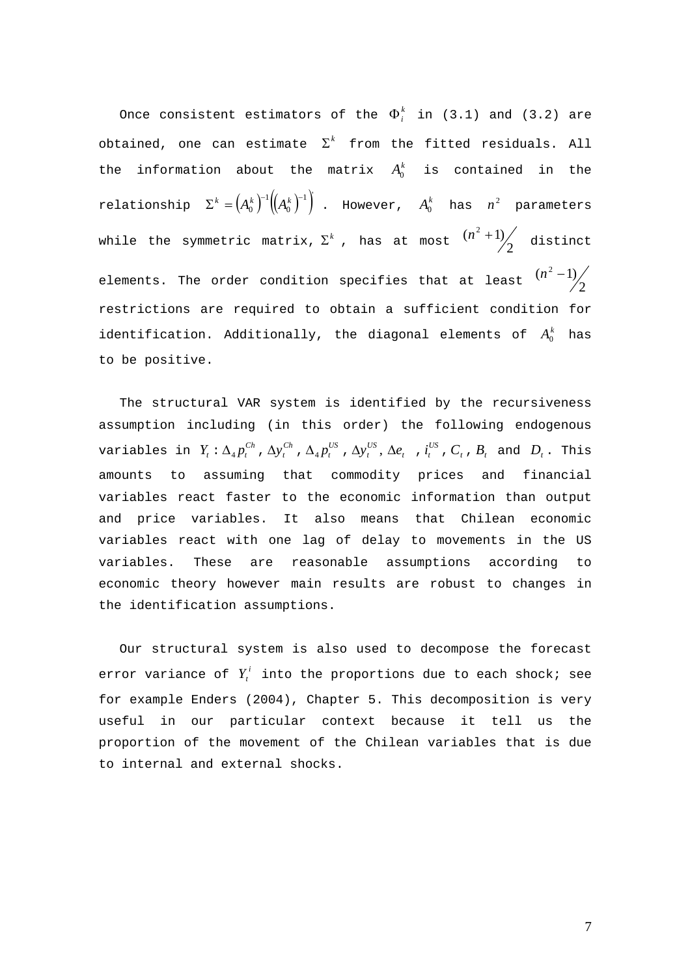Once consistent estimators of the  $\Phi_i^k$  in (3.1) and (3.2) are obtained, one can estimate  $\Sigma^k$  from the fitted residuals. All the information about the matrix  $A_0^k$  is contained in the relationship  $\Sigma^k = \left( A_0^k \right)^{\!\!-1} \left( \!\!\left( A_0^k \right)^{\!\!-1} \right)$ 1 0  $\Sigma^k = \left(A_0^k\right)^{-1}\left(\!\!\left(A_0^k\right)^{-1}\right)$  . However,  $A_0^k$  has  $n^2$  parameters while the symmetric matrix,  $\Sigma^k$  , has at most  $\frac{(n^2+1)}{2}$  distinct elements. The order condition specifies that at least  $\frac{(n-1)}{2}$  $(n^2 - 1)$ restrictions are required to obtain a sufficient condition for identification. Additionally, the diagonal elements of  $A_0^k$  has to be positive.

 The structural VAR system is identified by the recursiveness assumption including (in this order) the following endogenous variables in  $Y_t: \Delta_4 p_t^{Ch}$  ,  $\Delta y_t^{Ch}$  ,  $\Delta_4 p_t^{US}$  ,  $\Delta y_t^{US}$  ,  $\Delta e_t$  ,  $i_t^{US}$  ,  $C_t$  ,  $B_t$  and  $D_t$  . This amounts to assuming that commodity prices and financial variables react faster to the economic information than output and price variables. It also means that Chilean economic variables react with one lag of delay to movements in the US variables. These are reasonable assumptions according to economic theory however main results are robust to changes in the identification assumptions.

 Our structural system is also used to decompose the forecast error variance of  $Y_t^i$  into the proportions due to each shock; see for example Enders (2004), Chapter 5. This decomposition is very useful in our particular context because it tell us the proportion of the movement of the Chilean variables that is due to internal and external shocks.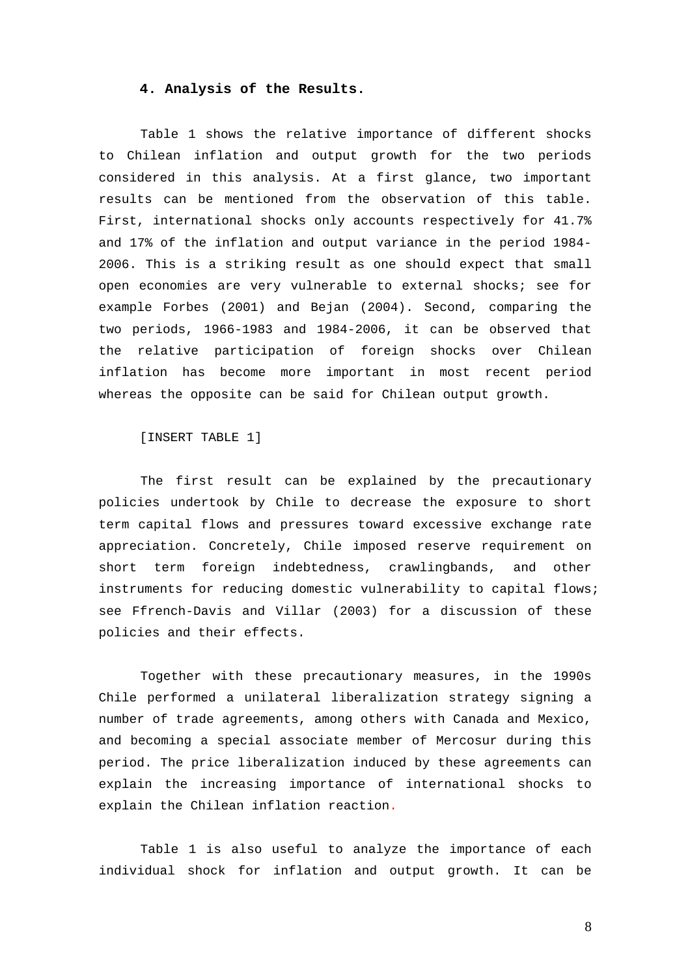#### **4. Analysis of the Results.**

Table 1 shows the relative importance of different shocks to Chilean inflation and output growth for the two periods considered in this analysis. At a first glance, two important results can be mentioned from the observation of this table. First, international shocks only accounts respectively for 41.7% and 17% of the inflation and output variance in the period 1984- 2006. This is a striking result as one should expect that small open economies are very vulnerable to external shocks; see for example Forbes (2001) and Bejan (2004). Second, comparing the two periods, 1966-1983 and 1984-2006, it can be observed that the relative participation of foreign shocks over Chilean inflation has become more important in most recent period whereas the opposite can be said for Chilean output growth.

[INSERT TABLE 1]

The first result can be explained by the precautionary policies undertook by Chile to decrease the exposure to short term capital flows and pressures toward excessive exchange rate appreciation. Concretely, Chile imposed reserve requirement on short term foreign indebtedness, crawlingbands, and other instruments for reducing domestic vulnerability to capital flows; see Ffrench-Davis and Villar (2003) for a discussion of these policies and their effects.

Together with these precautionary measures, in the 1990s Chile performed a unilateral liberalization strategy signing a number of trade agreements, among others with Canada and Mexico, and becoming a special associate member of Mercosur during this period. The price liberalization induced by these agreements can explain the increasing importance of international shocks to explain the Chilean inflation reaction.

Table 1 is also useful to analyze the importance of each individual shock for inflation and output growth. It can be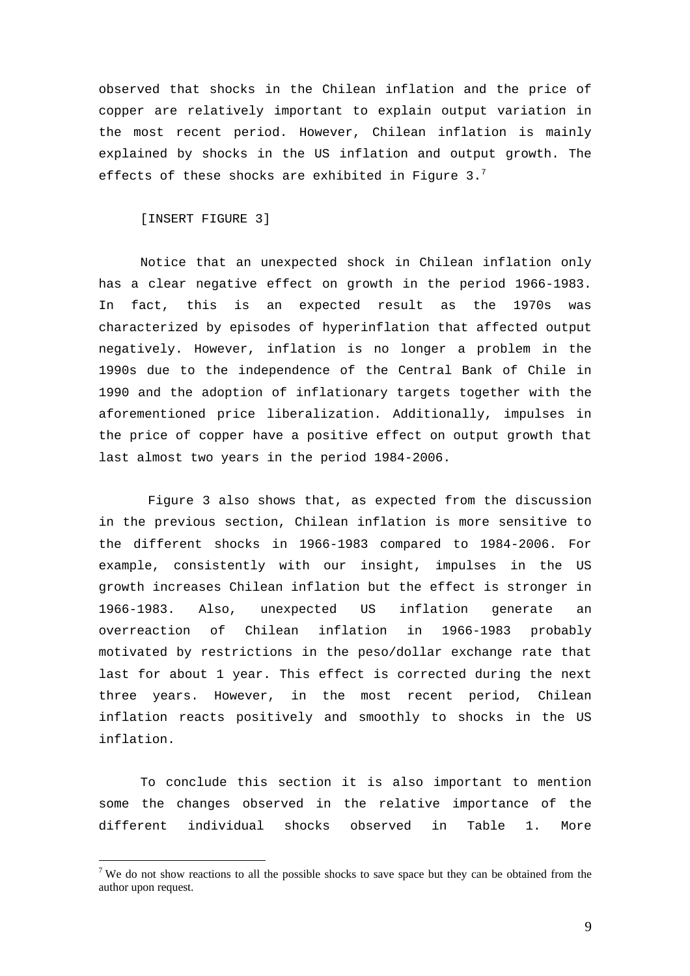observed that shocks in the Chilean inflation and the price of copper are relatively important to explain output variation in the most recent period. However, Chilean inflation is mainly explained by shocks in the US inflation and output growth. The effects of these shocks are exhibited in Figure 3. $^7$ 

[INSERT FIGURE 3]

 $\overline{a}$ 

Notice that an unexpected shock in Chilean inflation only has a clear negative effect on growth in the period 1966-1983. In fact, this is an expected result as the 1970s was characterized by episodes of hyperinflation that affected output negatively. However, inflation is no longer a problem in the 1990s due to the independence of the Central Bank of Chile in 1990 and the adoption of inflationary targets together with the aforementioned price liberalization. Additionally, impulses in the price of copper have a positive effect on output growth that last almost two years in the period 1984-2006.

 Figure 3 also shows that, as expected from the discussion in the previous section, Chilean inflation is more sensitive to the different shocks in 1966-1983 compared to 1984-2006. For example, consistently with our insight, impulses in the US growth increases Chilean inflation but the effect is stronger in 1966-1983. Also, unexpected US inflation generate an overreaction of Chilean inflation in 1966-1983 probably motivated by restrictions in the peso/dollar exchange rate that last for about 1 year. This effect is corrected during the next three years. However, in the most recent period, Chilean inflation reacts positively and smoothly to shocks in the US inflation.

To conclude this section it is also important to mention some the changes observed in the relative importance of the different individual shocks observed in Table 1. More

<sup>&</sup>lt;sup>7</sup> We do not show reactions to all the possible shocks to save space but they can be obtained from the author upon request.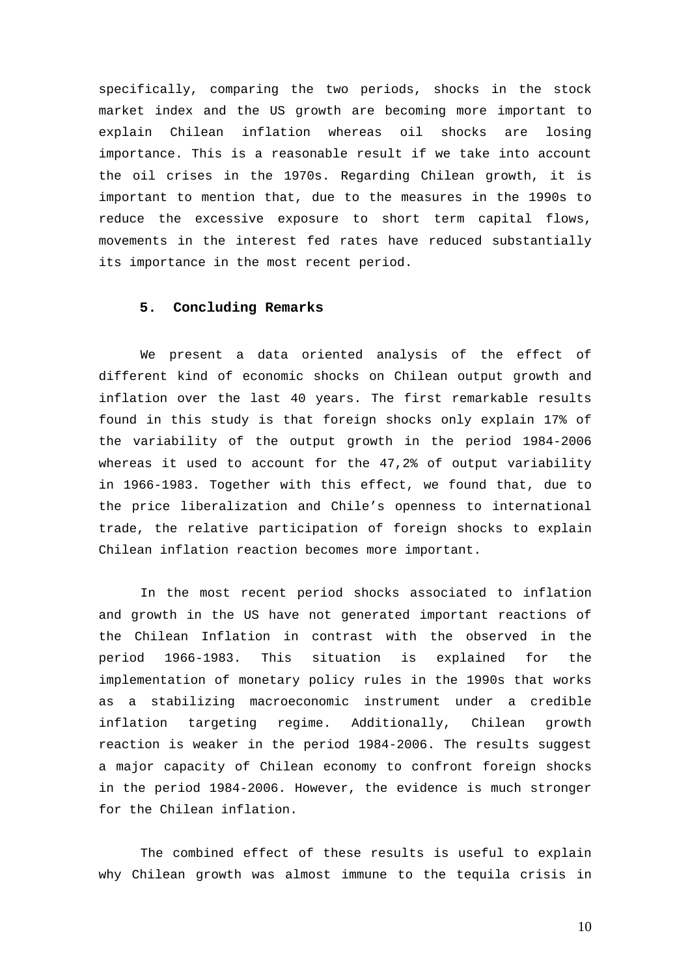specifically, comparing the two periods, shocks in the stock market index and the US growth are becoming more important to explain Chilean inflation whereas oil shocks are losing importance. This is a reasonable result if we take into account the oil crises in the 1970s. Regarding Chilean growth, it is important to mention that, due to the measures in the 1990s to reduce the excessive exposure to short term capital flows, movements in the interest fed rates have reduced substantially its importance in the most recent period.

#### **5. Concluding Remarks**

We present a data oriented analysis of the effect of different kind of economic shocks on Chilean output growth and inflation over the last 40 years. The first remarkable results found in this study is that foreign shocks only explain 17% of the variability of the output growth in the period 1984-2006 whereas it used to account for the 47,2% of output variability in 1966-1983. Together with this effect, we found that, due to the price liberalization and Chile's openness to international trade, the relative participation of foreign shocks to explain Chilean inflation reaction becomes more important.

In the most recent period shocks associated to inflation and growth in the US have not generated important reactions of the Chilean Inflation in contrast with the observed in the period 1966-1983. This situation is explained for the implementation of monetary policy rules in the 1990s that works as a stabilizing macroeconomic instrument under a credible inflation targeting regime. Additionally, Chilean growth reaction is weaker in the period 1984-2006. The results suggest a major capacity of Chilean economy to confront foreign shocks in the period 1984-2006. However, the evidence is much stronger for the Chilean inflation.

The combined effect of these results is useful to explain why Chilean growth was almost immune to the tequila crisis in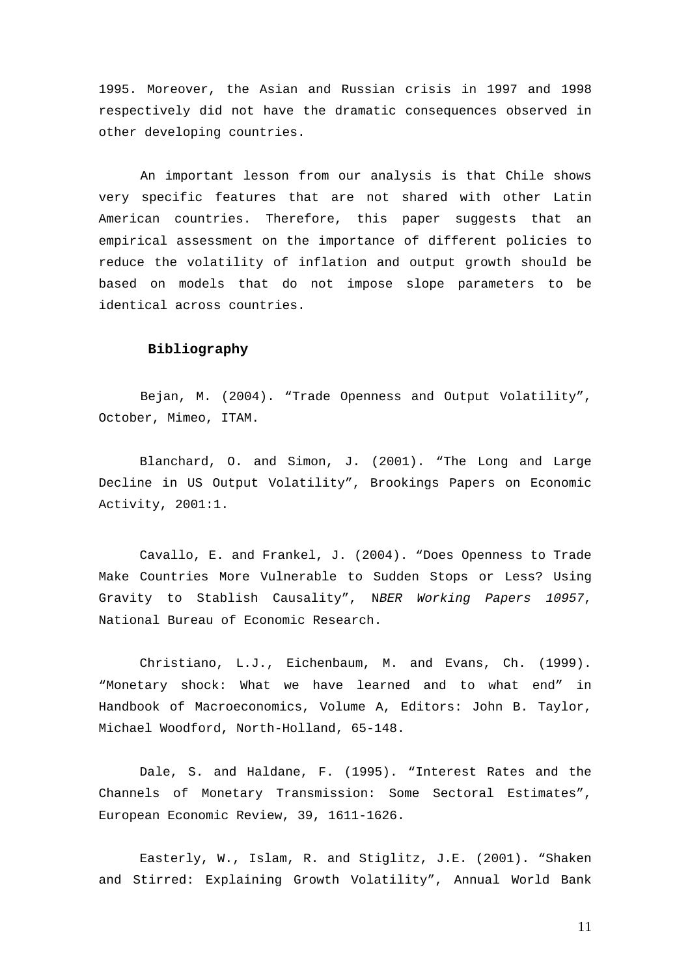1995. Moreover, the Asian and Russian crisis in 1997 and 1998 respectively did not have the dramatic consequences observed in other developing countries.

An important lesson from our analysis is that Chile shows very specific features that are not shared with other Latin American countries. Therefore, this paper suggests that an empirical assessment on the importance of different policies to reduce the volatility of inflation and output growth should be based on models that do not impose slope parameters to be identical across countries.

## **Bibliography**

Bejan, M. (2004). "Trade Openness and Output Volatility", October, Mimeo, ITAM.

Blanchard, O. and Simon, J. (2001). "The Long and Large Decline in US Output Volatility", Brookings Papers on Economic Activity, 2001:1.

Cavallo, E. and Frankel, J. (2004). "Does Openness to Trade Make Countries More Vulnerable to Sudden Stops or Less? Using Gravity to Stablish Causality", N*BER Working Papers 10957*, National Bureau of Economic Research.

Christiano, L.J., Eichenbaum, M. and Evans, Ch. (1999). "Monetary shock: What we have learned and to what end" in Handbook of Macroeconomics, Volume A, Editors: John B. Taylor, Michael Woodford, North-Holland, 65-148.

Dale, S. and Haldane, F. (1995). "Interest Rates and the Channels of Monetary Transmission: Some Sectoral Estimates", European Economic Review, 39, 1611-1626.

Easterly, W., Islam, R. and Stiglitz, J.E. (2001). "Shaken and Stirred: Explaining Growth Volatility", Annual World Bank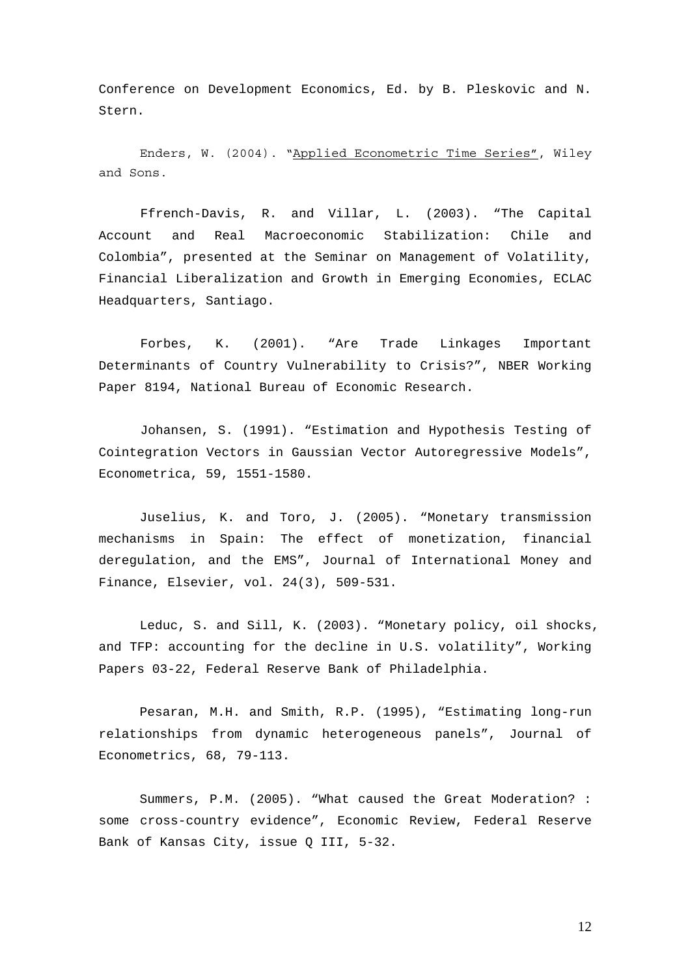Conference on Development Economics, Ed. by B. Pleskovic and N. Stern.

Enders, W. (2004). "Applied Econometric Time Series", Wiley and Sons.

Ffrench-Davis, R. and Villar, L. (2003). "The Capital Account and Real Macroeconomic Stabilization: Chile and Colombia", presented at the Seminar on Management of Volatility, Financial Liberalization and Growth in Emerging Economies, ECLAC Headquarters, Santiago.

Forbes, K. (2001). "Are Trade Linkages Important Determinants of Country Vulnerability to Crisis?", NBER Working Paper 8194, National Bureau of Economic Research.

Johansen, S. (1991). "Estimation and Hypothesis Testing of Cointegration Vectors in Gaussian Vector Autoregressive Models", Econometrica, 59, 1551-1580.

Juselius, K. and Toro, J. (2005). "Monetary transmission mechanisms in Spain: The effect of monetization, financial deregulation, and the EMS", Journal of International Money and Finance, Elsevier, vol. 24(3), 509-531.

Leduc, S. and Sill, K. (2003). "Monetary policy, oil shocks, and TFP: accounting for the decline in U.S. volatility", Working Papers 03-22, Federal Reserve Bank of Philadelphia.

Pesaran, M.H. and Smith, R.P. (1995), "Estimating long-run relationships from dynamic heterogeneous panels", Journal of Econometrics, 68, 79-113.

Summers, P.M. (2005). "What caused the Great Moderation? : some cross-country evidence", Economic Review, Federal Reserve Bank of Kansas City, issue Q III, 5-32.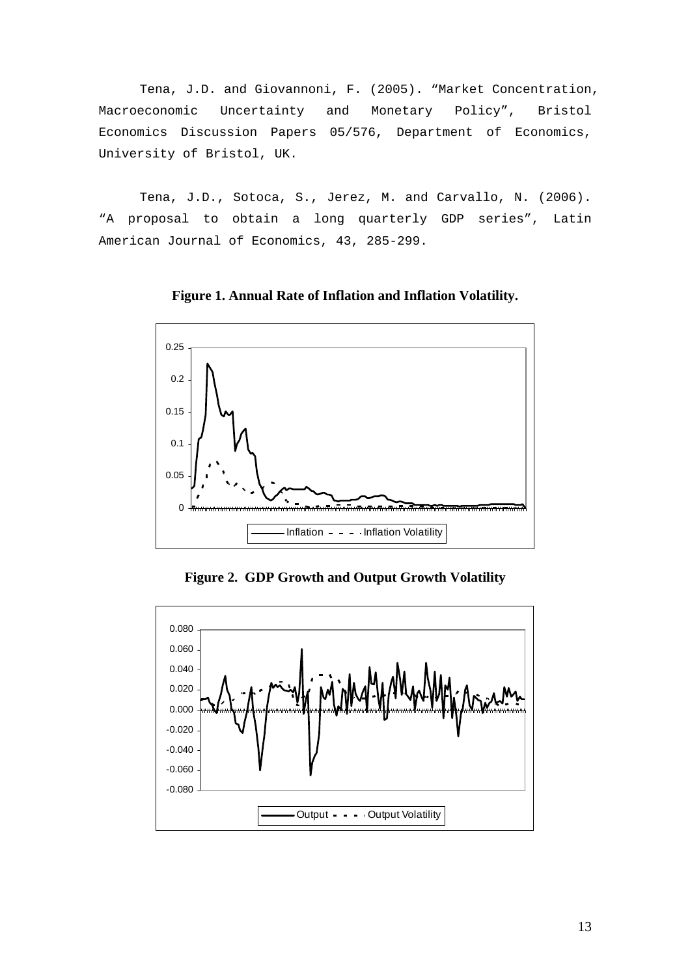Tena, J.D. and Giovannoni, F. (2005). "Market Concentration, Macroeconomic Uncertainty and Monetary Policy", Bristol Economics Discussion Papers 05/576, Department of Economics, University of Bristol, UK.

Tena, J.D., Sotoca, S., Jerez, M. and Carvallo, N. (2006). "A proposal to obtain a long quarterly GDP series", Latin American Journal of Economics, 43, 285-299.



**Figure 1. Annual Rate of Inflation and Inflation Volatility.** 

**Figure 2. GDP Growth and Output Growth Volatility**